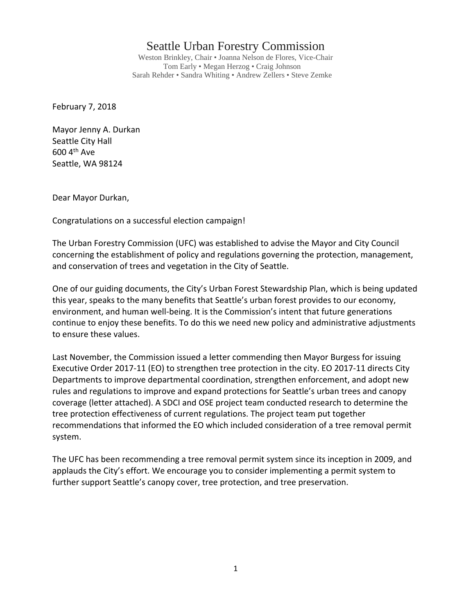## Seattle Urban Forestry Commission

Weston Brinkley, Chair • Joanna Nelson de Flores, Vice-Chair Tom Early • Megan Herzog • Craig Johnson Sarah Rehder • Sandra Whiting • Andrew Zellers • Steve Zemke

February 7, 2018

Mayor Jenny A. Durkan Seattle City Hall 600 4th Ave Seattle, WA 98124

Dear Mayor Durkan,

Congratulations on a successful election campaign!

The Urban Forestry Commission (UFC) was established to advise the Mayor and City Council concerning the establishment of policy and regulations governing the protection, management, and conservation of trees and vegetation in the City of Seattle.

One of our guiding documents, the City's Urban Forest Stewardship Plan, which is being updated this year, speaks to the many benefits that Seattle's urban forest provides to our economy, environment, and human well‐being. It is the Commission's intent that future generations continue to enjoy these benefits. To do this we need new policy and administrative adjustments to ensure these values.

Last November, the Commission issued a letter commending then Mayor Burgess for issuing Executive Order 2017‐11 (EO) to strengthen tree protection in the city. EO 2017‐11 directs City Departments to improve departmental coordination, strengthen enforcement, and adopt new rules and regulations to improve and expand protections for Seattle's urban trees and canopy coverage (letter attached). A SDCI and OSE project team conducted research to determine the tree protection effectiveness of current regulations. The project team put together recommendations that informed the EO which included consideration of a tree removal permit system.

The UFC has been recommending a tree removal permit system since its inception in 2009, and applauds the City's effort. We encourage you to consider implementing a permit system to further support Seattle's canopy cover, tree protection, and tree preservation.